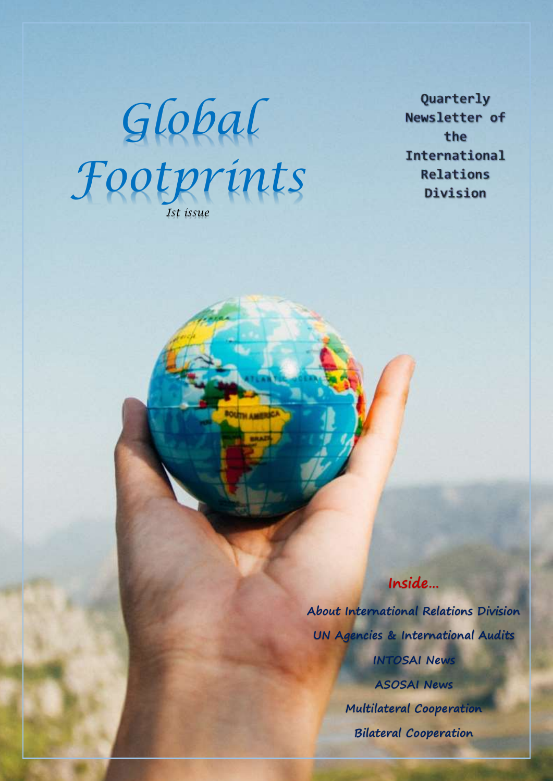# *Global Footprints*

*Ist issue*

**1 |** P a g e

Quarterly Newsletter of the International Relations Division

**Inside…**

**About International Relations Division UN Agencies & International Audits INTOSAI News ASOSAI News Multilateral Cooperation**

**Bilateral Cooperation**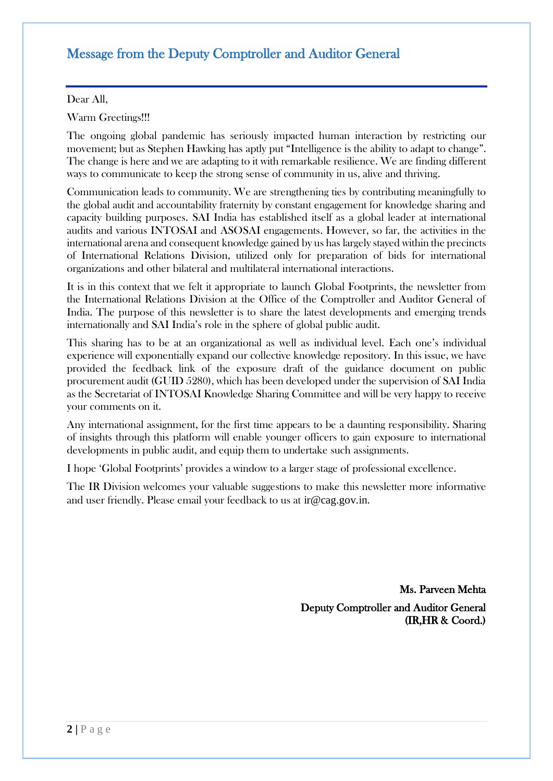# Message from the Deputy Comptroller and Auditor General

## Dear All,

Warm Greetings!!!

The ongoing global pandemic has seriously impacted human interaction by restricting our movement; but as Stephen Hawking has aptly put "Intelligence is the ability to adapt to change". The change is here and we are adapting to it with remarkable resilience. We are finding different ways to communicate to keep the strong sense of community in us, alive and thriving.

Communication leads to community. We are strengthening ties by contributing meaningfully to the global audit and accountability fraternity by constant engagement for knowledge sharing and capacity building purposes. SAI India has established itself as a global leader at international audits and various INTOSAI and ASOSAI engagements. However, so far, the activities in the international arena and consequent knowledge gained by us has largely stayed within the precincts of International Relations Division, utilized only for preparation of bids for international organizations and other bilateral and multilateral international interactions.

It is in this context that we felt it appropriate to launch Global Footprints, the newsletter from the International Relations Division at the Office of the Comptroller and Auditor General of India. The purpose of this newsletter is to share the latest developments and emerging trends internationally and SAI India's role in the sphere of global public audit.

This sharing has to be at an organizational as well as individual level. Each one's individual experience will exponentially expand our collective knowledge repository. In this issue, we have provided the feedback link of the exposure draft of the guidance document on public procurement audit (GUID 5280), which has been developed under the supervision of SAI India as the Secretariat of INTOSAI Knowledge Sharing Committee and will be very happy to receive your comments on it.

Any international assignment, for the first time appears to be a daunting responsibility. Sharing of insights through this platform will enable younger officers to gain exposure to international developments in public audit, and equip them to undertake such assignments.

I hope 'Global Footprints' provides a window to a larger stage of professional excellence.

The IR Division welcomes your valuable suggestions to make this newsletter more informative and user friendly. Please email your feedback to us at [ir@cag.gov.in](mailto:ir@cag.gov.in).

> Ms. Parveen Mehta Deputy Comptroller and Auditor General (IR,HR & Coord.)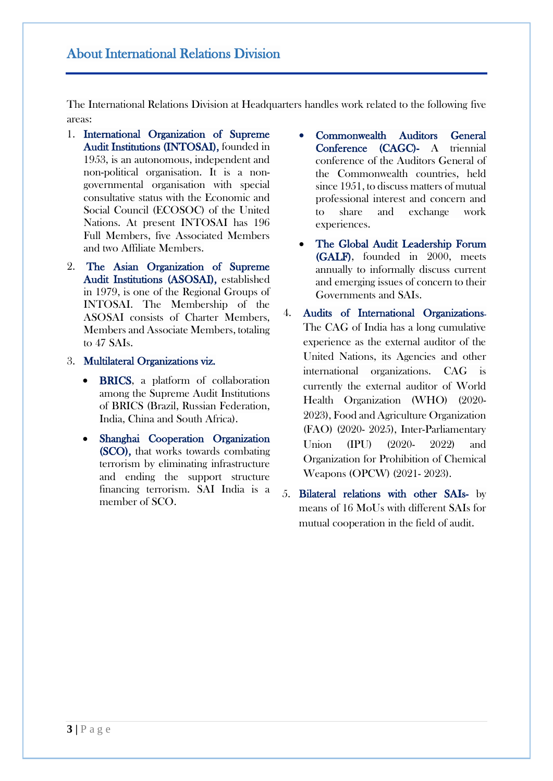The International Relations Division at Headquarters handles work related to the following five areas:

- 1. International Organization of Supreme Audit Institutions (INTOSAI), founded in 1953, is an autonomous, independent and non-political organisation. It is a nongovernmental organisation with special consultative status with the Economic and Social Council (ECOSOC) of the United Nations. At present INTOSAI has 196 Full Members, five Associated Members and two Affiliate Members.
- 2. The Asian Organization of Supreme Audit Institutions (ASOSAI), established in 1979, is one of the Regional Groups of [INTOSAI.](http://www.intosai.org/) The Membership of the ASOSAI consists of Charter Members, Members and Associate Members, totaling to 47 SAIs.
- 3. Multilateral Organizations viz.
	- BRICS, a platform of collaboration among the Supreme Audit Institutions of BRICS (Brazil, Russian Federation, India, China and South Africa).
	- Shanghai Cooperation Organization (SCO), that works towards combating terrorism by eliminating infrastructure and ending the support structure financing terrorism. SAI India is a member of SCO.
- Commonwealth Auditors General Conference (CAGC)- A triennial conference of the Auditors General of the Commonwealth countries, held since 1951, to discuss matters of mutual professional interest and concern and to share and exchange work experiences.
- The Global Audit Leadership Forum (GALF), founded in 2000, meets annually to informally discuss current and emerging issues of concern to their Governments and SAIs.
- 4. Audits of International Organizations-The CAG of India has a long cumulative experience as the external auditor of the United Nations, its Agencies and other international organizations. CAG is currently the external auditor of World Health Organization (WHO) (2020- 2023), Food and Agriculture Organization (FAO) (2020- 2025), Inter-Parliamentary Union (IPU) (2020- 2022) and Organization for Prohibition of Chemical Weapons (OPCW) (2021- 2023).
- 5. Bilateral relations with other SAIs- by means of 16 MoUs with different SAIs for mutual cooperation in the field of audit.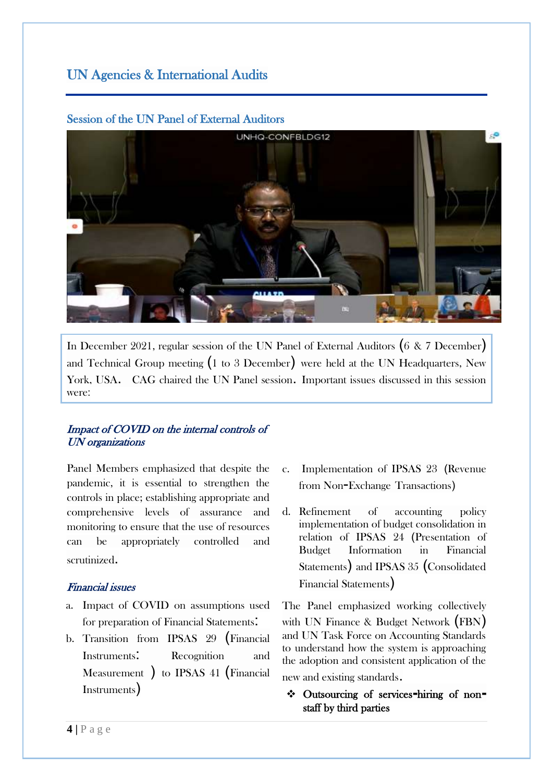# UN Agencies & International Audits

## Session of the UN Panel of External Auditors



In December 2021, regular session of the UN Panel of External Auditors (6 & 7 December) and Technical Group meeting (1 to 3 December) were held at the UN Headquarters, New York, USA. CAG chaired the UN Panel session. Important issues discussed in this session were:

#### Impact of COVID on the internal controls of UN organizations

Panel Members emphasized that despite the pandemic, it is essential to strengthen the controls in place; establishing appropriate and comprehensive levels of assurance and monitoring to ensure that the use of resources can be appropriately controlled and scrutinized.

## Financial issues

- a. Impact of COVID on assumptions used for preparation of Financial Statements:
- b. Transition from IPSAS 29 (Financial Instruments: Recognition and Measurement ) to IPSAS 41 (Financial Instruments)
- c. Implementation of IPSAS 23 (Revenue from Non-Exchange Transactions)
- d. Refinement of accounting policy implementation of budget consolidation in relation of IPSAS 24 (Presentation of Budget Information in Financial Statements) and IPSAS 35 (Consolidated Financial Statements)

The Panel emphasized working collectively with UN Finance & Budget Network (FBN) and UN Task Force on Accounting Standards to understand how the system is approaching the adoption and consistent application of the new and existing standards.

 Outsourcing of services**-**hiring of nonstaff by third parties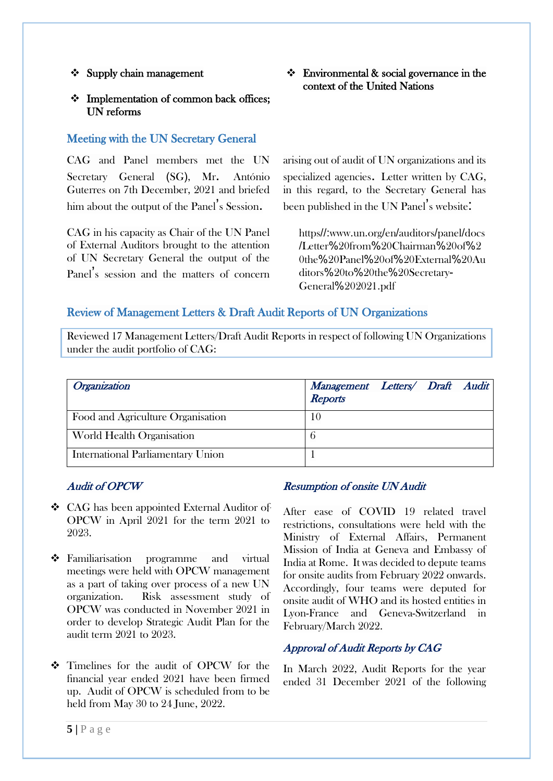## $\div$  Supply chain management

## $\div$  Implementation of common back offices; UN reforms

## Meeting with the UN Secretary General

CAG and Panel members met the UN Secretary General (SG), Mr. António Guterres on 7th December, 2021 and briefed him about the output of the Panel's Session.

CAG in his capacity as Chair of the UN Panel of External Auditors brought to the attention of UN Secretary General the output of the Panel's session and the matters of concern

## $\div$  Environmental & social governance in the context of the United Nations

arising out of audit of UN organizations and its specialized agencies. Letter written by CAG, in this regard, to the Secretary General has been published in the UN Panel's website:

https//:www.un.org/en/[auditors](https://www.un.org/en/auditors/panel/docs/Letter%20from%20Chairman%20of%20the%20Panel%20of%20External%20Auditors%20to%20the%20Secretary-General%202021.pdf)/panel/docs /Letter%20from%[20Chairman](https://www.un.org/en/auditors/panel/docs/Letter%20from%20Chairman%20of%20the%20Panel%20of%20External%20Auditors%20to%20the%20Secretary-General%202021.pdf)%20of%2 0the%20Panel%20of%[20External](https://www.un.org/en/auditors/panel/docs/Letter%20from%20Chairman%20of%20the%20Panel%20of%20External%20Auditors%20to%20the%20Secretary-General%202021.pdf)%20Au ditors%20to%20the%[20Secretary](https://www.un.org/en/auditors/panel/docs/Letter%20from%20Chairman%20of%20the%20Panel%20of%20External%20Auditors%20to%20the%20Secretary-General%202021.pdf)-[General](https://www.un.org/en/auditors/panel/docs/Letter%20from%20Chairman%20of%20the%20Panel%20of%20External%20Auditors%20to%20the%20Secretary-General%202021.pdf)%202021.pdf

## Review of Management Letters & Draft Audit Reports of UN Organizations

Reviewed 17 Management Letters/Draft Audit Reports in respect of following UN Organizations under the audit portfolio of CAG:

| Organization                             | Management Letters/ Draft Audit<br><b>Reports</b> |  |  |
|------------------------------------------|---------------------------------------------------|--|--|
| Food and Agriculture Organisation        | 10                                                |  |  |
| World Health Organisation                |                                                   |  |  |
| <b>International Parliamentary Union</b> |                                                   |  |  |

## Audit of OPCW

- CAG has been appointed External Auditor of OPCW in April 2021 for the term 2021 to 2023.
- \* Familiarisation programme and virtual meetings were held with OPCW management as a part of taking over process of a new UN organization. Risk assessment study of OPCW was conducted in November 2021 in order to develop Strategic Audit Plan for the audit term 2021 to 2023.
- Timelines for the audit of OPCW for the financial year ended 2021 have been firmed up. Audit of OPCW is scheduled from to be held from May 30 to 24 June, 2022.

#### Resumption of onsite UN Audit

 After ease of COVID 19 related travel restrictions, consultations were held with the Ministry of External Affairs, Permanent Mission of India at Geneva and Embassy of India at Rome. It was decided to depute teams for onsite audits from February 2022 onwards. Accordingly, four teams were deputed for onsite audit of WHO and its hosted entities in Lyon-France and Geneva-Switzerland in February/March 2022.

## Approval of Audit Reports by CAG

In March 2022, Audit Reports for the year ended 31 December 2021 of the following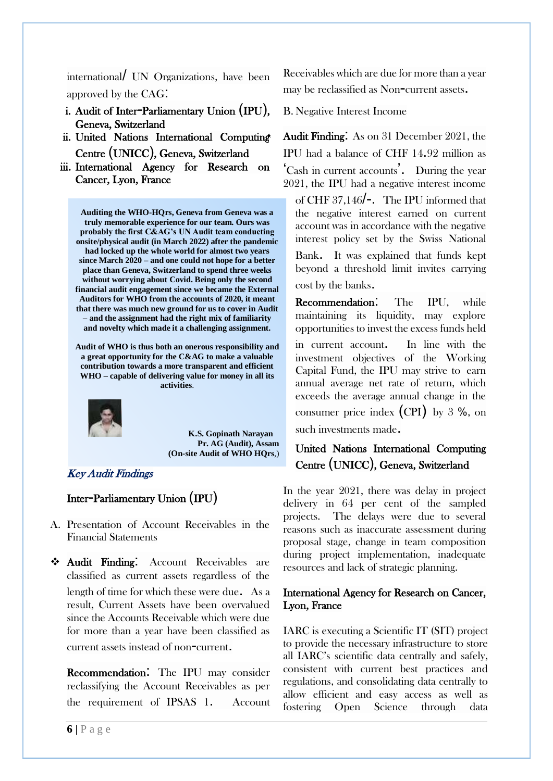international/ UN Organizations, have been approved by the CAG:

- i. Audit of Inter-Parliamentary Union (IPU), Geneva, Switzerland
- ii. United Nations International Computing Centre (UNICC), Geneva, Switzerland
- iii. International Agency for Research on Cancer, Lyon, France

**Auditing the WHO-HQrs, Geneva from Geneva was a truly memorable experience for our team. Ours was probably the first C&AG's UN Audit team conducting onsite/physical audit (in March 2022) after the pandemic had locked up the whole world for almost two years since March 2020 – and one could not hope for a better place than Geneva, Switzerland to spend three weeks without worrying about Covid. Being only the second financial audit engagement since we became the External Auditors for WHO from the accounts of 2020, it meant that there was much new ground for us to cover in Audit – and the assignment had the right mix of familiarity and novelty which made it a challenging assignment.**

**Audit of WHO is thus both an onerous responsibility and a great opportunity for the C&AG to make a valuable contribution towards a more transparent and efficient WHO – capable of delivering value for money in all its activities**.



 **K.S. Gopinath Narayan Pr. AG (Audit), Assam (On-site Audit of WHO HQrs**,)

## Key Audit Findings

## Inter-Parliamentary Union (IPU)

- A. Presentation of Account Receivables in the Financial Statements
- Audit Finding: Account Receivables are classified as current assets regardless of the length of time for which these were due. As a result, Current Assets have been overvalued since the Accounts Receivable which were due for more than a year have been classified as current assets instead of non-current.

Recommendation: The IPU may consider reclassifying the Account Receivables as per the requirement of IPSAS 1. Account Receivables which are due for more than a year may be reclassified as Non-current assets.

B. Negative Interest Income

 Audit Finding: As on 31 December 2021, the IPU had a balance of CHF 14.92 million as 'Cash in current accounts'. During the year 2021, the IPU had a negative interest income

of CHF 37,146/-. The IPU informed that the negative interest earned on current account was in accordance with the negative interest policy set by the Swiss National Bank. It was explained that funds kept beyond a threshold limit invites carrying

cost by the banks.

Recommendation: The IPU, while maintaining its liquidity, may explore opportunities to invest the excess funds held

in current account. In line with the investment objectives of the Working Capital Fund, the IPU may strive to earn annual average net rate of return, which exceeds the average annual change in the consumer price index  $(CPI)$  by 3 %, on such investments made.

# United Nations International Computing Centre (UNICC), Geneva, Switzerland

In the year 2021, there was delay in project delivery in 64 per cent of the sampled projects. The delays were due to several reasons such as inaccurate assessment during proposal stage, change in team composition during project implementation, inadequate resources and lack of strategic planning.

## International Agency for Research on Cancer, Lyon, France

IARC is executing a Scientific IT (SIT) project to provide the necessary infrastructure to store all IARC's scientific data centrally and safely, consistent with current best practices and regulations, and consolidating data centrally to allow efficient and easy access as well as fostering Open Science through data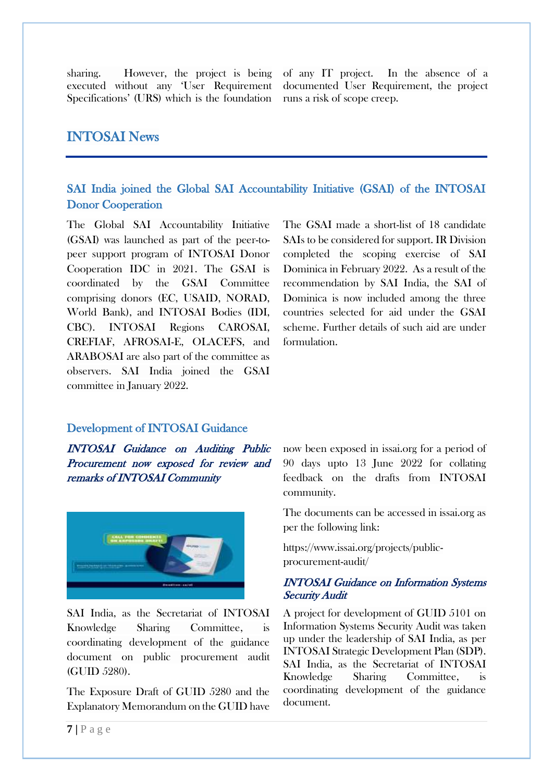sharing. However, the project is being executed without any 'User Requirement Specifications' (URS) which is the foundation

of any IT project. In the absence of a documented User Requirement, the project runs a risk of scope creep.

# INTOSAI News

# SAI India joined the Global SAI Accountability Initiative (GSAI) of the INTOSAI Donor Cooperation

The Global SAI Accountability Initiative (GSAI) was launched as part of the peer-topeer support program of INTOSAI Donor Cooperation IDC in 2021. The GSAI is coordinated by the GSAI Committee comprising donors (EC, USAID, NORAD, World Bank), and INTOSAI Bodies (IDI, CBC). INTOSAI Regions CAROSAI, CREFIAF, AFROSAI-E, OLACEFS, and ARABOSAI are also part of the committee as observers. SAI India joined the GSAI committee in January 2022.

The GSAI made a short-list of 18 candidate SAIs to be considered for support. IR Division completed the scoping exercise of SAI Dominica in February 2022. As a result of the recommendation by SAI India, the SAI of Dominica is now included among the three countries selected for aid under the GSAI scheme. Further details of such aid are under formulation.

#### Development of INTOSAI Guidance

INTOSAI Guidance on Auditing Public Procurement now exposed for review and remarks of INTOSAI Community



SAI India, as the Secretariat of INTOSAI Knowledge Sharing Committee, is coordinating development of the guidance document on public procurement audit (GUID 5280).

The Exposure Draft of GUID 5280 and the Explanatory Memorandum on the GUID have now been exposed in issai.org for a period of 90 days upto 13 June 2022 for collating feedback on the drafts from INTOSAI community.

The documents can be accessed in issai.org as per the following link:

https://www.issai.org/projects/publicprocurement-audit/

#### INTOSAI Guidance on Information Systems Security Audit

A project for development of GUID 5101 on Information Systems Security Audit was taken up under the leadership of SAI India, as per INTOSAI Strategic Development Plan (SDP). SAI India, as the Secretariat of INTOSAI Knowledge Sharing Committee, is coordinating development of the guidance document.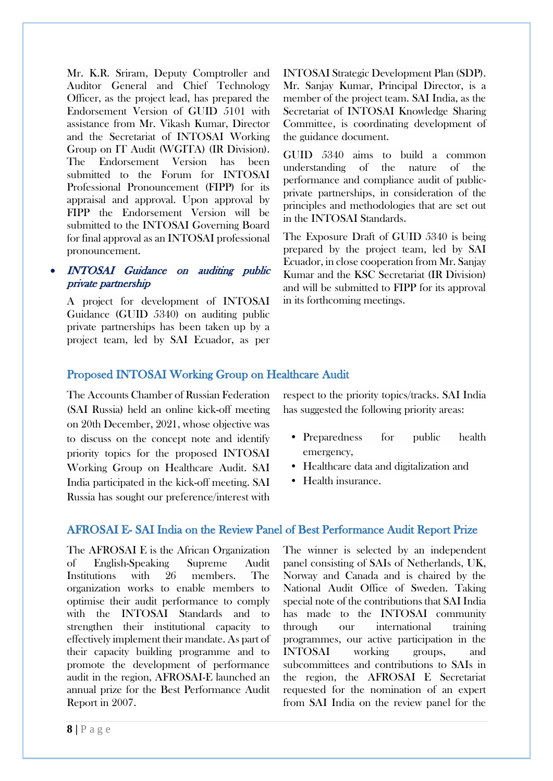Mr. K.R. Sriram, Deputy Comptroller and Auditor General and Chief Technology Officer, as the project lead, has prepared the Endorsement Version of GUID 5101 with assistance from Mr. Vikash Kumar, Director and the Secretariat of INTOSAI Working Group on IT Audit (WGITA) (IR Division). The Endorsement Version has been submitted to the Forum for INTOSAI Professional Pronouncement (FIPP) for its appraisal and approval. Upon approval by FIPP the Endorsement Version will be submitted to the INTOSAI Governing Board for final approval as an INTOSAI professional pronouncement.

## INTOSAI Guidance on auditing public private partnership

A project for development of INTOSAI Guidance (GUID 5340) on auditing public private partnerships has been taken up by a project team, led by SAI Ecuador, as per INTOSAI Strategic Development Plan (SDP). Mr. Sanjay Kumar, Principal Director, is a member of the project team. SAI India, as the Secretariat of INTOSAI Knowledge Sharing Committee, is coordinating development of the guidance document.

GUID 5340 aims to build a common understanding of the nature of the performance and compliance audit of publicprivate partnerships, in consideration of the principles and methodologies that are set out in the INTOSAI Standards.

The Exposure Draft of GUID 5340 is being prepared by the project team, led by SAI Ecuador, in close cooperation from Mr. Sanjay Kumar and the KSC Secretariat (IR Division) and will be submitted to FIPP for its approval in its forthcoming meetings.

# Proposed INTOSAI Working Group on Healthcare Audit

The Accounts Chamber of Russian Federation (SAI Russia) held an online kick-off meeting on 20th December, 2021, whose objective was to discuss on the concept note and identify priority topics for the proposed INTOSAI Working Group on Healthcare Audit. SAI India participated in the kick-off meeting. SAI Russia has sought our preference/interest with

respect to the priority topics/tracks. SAI India has suggested the following priority areas:

- Preparedness for public health emergency,
- Healthcare data and digitalization and
- Health insurance.

## AFROSAI E- SAI India on the Review Panel of Best Performance Audit Report Prize

The AFROSAI E is the African Organization of English-Speaking Supreme Audit Institutions with 26 members. The organization works to enable members to optimise their audit performance to comply with the INTOSAI Standards and to strengthen their institutional capacity to effectively implement their mandate. As part of their capacity building programme and to promote the development of performance audit in the region, AFROSAI-E launched an annual prize for the Best Performance Audit Report in 2007.

The winner is selected by an independent panel consisting of SAIs of Netherlands, UK, Norway and Canada and is chaired by the National Audit Office of Sweden. Taking special note of the contributions that SAI India has made to the INTOSAI community through our international training programmes, our active participation in the INTOSAI working groups, and subcommittees and contributions to SAIs in the region, the AFROSAI E Secretariat requested for the nomination of an expert from SAI India on the review panel for the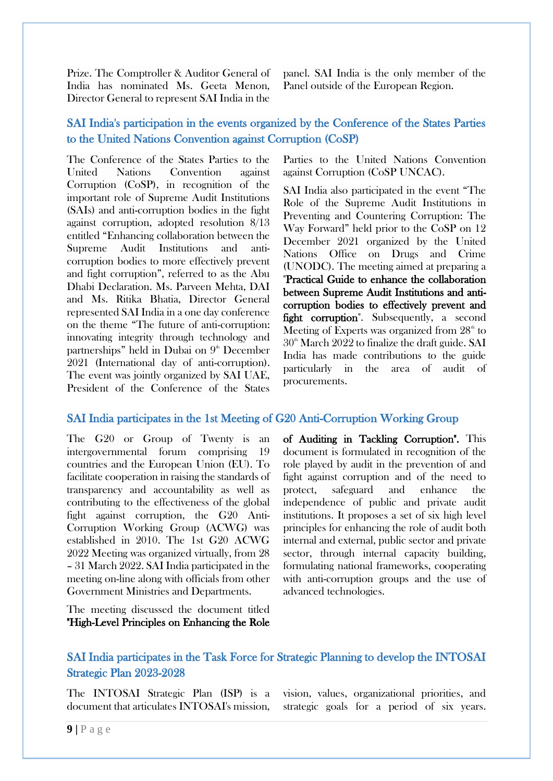Prize. The Comptroller & Auditor General of India has nominated Ms. Geeta Menon, Director General to represent SAI India in the

panel. SAI India is the only member of the Panel outside of the European Region.

# SAI India's participation in the events organized by the Conference of the States Parties to the United Nations Convention against Corruption (CoSP)

The Conference of the States Parties to the United Nations Convention against Corruption (CoSP), in recognition of the important role of Supreme Audit Institutions (SAIs) and anti-corruption bodies in the fight against corruption, adopted resolution 8/13 entitled "Enhancing collaboration between the Supreme Audit Institutions and anticorruption bodies to more effectively prevent and fight corruption", referred to as the Abu Dhabi Declaration. Ms. Parveen Mehta, DAI and Ms. Ritika Bhatia, Director General represented SAI India in a one day conference on the theme "The future of anti-corruption: innovating integrity through technology and partnerships" held in Dubai on  $9<sup>th</sup>$  December 2021 (International day of anti-corruption). The event was jointly organized by SAI UAE, President of the Conference of the States Parties to the United Nations Convention against Corruption (CoSP UNCAC).

SAI India also participated in the event "The Role of the Supreme Audit Institutions in Preventing and Countering Corruption: The Way Forward" held prior to the CoSP on 12 December 2021 organized by the United Nations Office on Drugs and Crime (UNODC). The meeting aimed at preparing a "Practical Guide to enhance the collaboration between Supreme Audit Institutions and anticorruption bodies to effectively prevent and fight corruption". Subsequently, a second Meeting of Experts was organized from  $28<sup>th</sup>$  to  $30<sup>th</sup>$  March 2022 to finalize the draft guide. SAI India has made contributions to the guide particularly in the area of audit of procurements.

#### SAI India participates in the 1st Meeting of G20 Anti-Corruption Working Group

The G20 or Group of Twenty is an intergovernmental forum comprising 19 countries and the European Union (EU). To facilitate cooperation in raising the standards of transparency and accountability as well as contributing to the effectiveness of the global fight against corruption, the G20 Anti-Corruption Working Group (ACWG) was established in 2010. The 1st G20 ACWG 2022 Meeting was organized virtually, from 28 – 31 March 2022. SAI India participated in the meeting on-line along with officials from other Government Ministries and Departments.

The meeting discussed the document titled "High-Level Principles on Enhancing the Role of Auditing in Tackling Corruption". This document is formulated in recognition of the role played by audit in the prevention of and fight against corruption and of the need to protect, safeguard and enhance the independence of public and private audit institutions. It proposes a set of six high level principles for enhancing the role of audit both internal and external, public sector and private sector, through internal capacity building, formulating national frameworks, cooperating with anti-corruption groups and the use of advanced technologies.

# SAI India participates in the Task Force for Strategic Planning to develop the INTOSAI Strategic Plan 2023-2028

The INTOSAI Strategic Plan (ISP) is a document that articulates INTOSAI's mission, vision, values, organizational priorities, and strategic goals for a period of six years.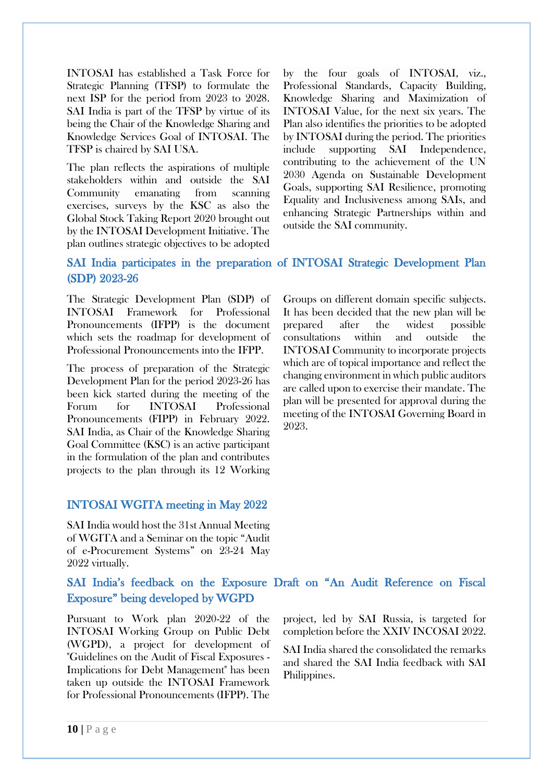INTOSAI has established a Task Force for Strategic Planning (TFSP) to formulate the next ISP for the period from 2023 to 2028. SAI India is part of the TFSP by virtue of its being the Chair of the Knowledge Sharing and Knowledge Services Goal of INTOSAI. The TFSP is chaired by SAI USA.

The plan reflects the aspirations of multiple stakeholders within and outside the SAI Community emanating from scanning exercises, surveys by the KSC as also the Global Stock Taking Report 2020 brought out by the INTOSAI Development Initiative. The plan outlines strategic objectives to be adopted by the four goals of INTOSAI, viz., Professional Standards, Capacity Building, Knowledge Sharing and Maximization of INTOSAI Value, for the next six years. The Plan also identifies the priorities to be adopted by INTOSAI during the period. The priorities include supporting SAI Independence, contributing to the achievement of the UN 2030 Agenda on Sustainable Development Goals, supporting SAI Resilience, promoting Equality and Inclusiveness among SAIs, and enhancing Strategic Partnerships within and outside the SAI community.

# SAI India participates in the preparation of INTOSAI Strategic Development Plan (SDP) 2023-26

The Strategic Development Plan (SDP) of INTOSAI Framework for Professional Pronouncements (IFPP) is the document which sets the roadmap for development of Professional Pronouncements into the IFPP.

The process of preparation of the Strategic Development Plan for the period 2023-26 has been kick started during the meeting of the Forum for INTOSAI Professional Pronouncements (FIPP) in February 2022. SAI India, as Chair of the Knowledge Sharing Goal Committee (KSC) is an active participant in the formulation of the plan and contributes projects to the plan through its 12 Working

## INTOSAI WGITA meeting in May 2022

SAI India would host the 31st Annual Meeting of WGITA and a Seminar on the topic "Audit of e-Procurement Systems" on 23-24 May 2022 virtually.

Groups on different domain specific subjects. It has been decided that the new plan will be prepared after the widest possible consultations within and outside the INTOSAI Community to incorporate projects which are of topical importance and reflect the changing environment in which public auditors are called upon to exercise their mandate. The plan will be presented for approval during the meeting of the INTOSAI Governing Board in 2023.

# SAI India's feedback on the Exposure Draft on "An Audit Reference on Fiscal Exposure" being developed by WGPD

Pursuant to Work plan 2020-22 of the INTOSAI Working Group on Public Debt (WGPD), a project for development of "Guidelines on the Audit of Fiscal Exposures - Implications for Debt Management" has been taken up outside the INTOSAI Framework for Professional Pronouncements (IFPP). The project, led by SAI Russia, is targeted for completion before the XXIV INCOSAI 2022.

SAI India shared the consolidated the remarks and shared the SAI India feedback with SAI Philippines.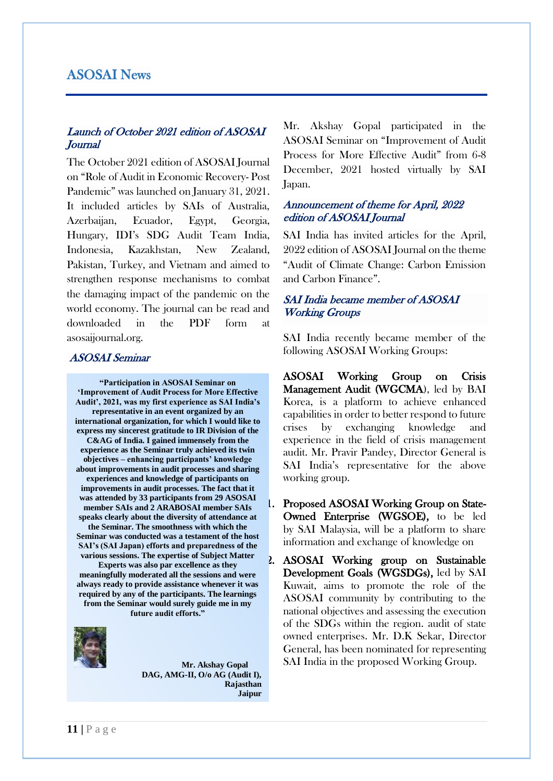# ASOSAI News

## Launch of October 2021 edition of ASOSAI *Journal*

The October 2021 edition of ASOSAI Journal on "Role of Audit in Economic Recovery- Post Pandemic" was launched on January 31, 2021. It included articles by SAIs of Australia, Azerbaijan, Ecuador, Egypt, Georgia, Hungary, IDI's SDG Audit Team India, Indonesia, Kazakhstan, New Zealand, Pakistan, Turkey, and Vietnam and aimed to strengthen response mechanisms to combat the damaging impact of the pandemic on the world economy. The journal can be read and downloaded in the PDF form at asosaijournal.org.

#### ASOSAI Seminar

**"Participation in ASOSAI Seminar on 'Improvement of Audit Process for More Effective Audit', 2021, was my first experience as SAI India's representative in an event organized by an international organization, for which I would like to express my sincerest gratitude to IR Division of the C&AG of India. I gained immensely from the experience as the Seminar truly achieved its twin objectives – enhancing participants' knowledge about improvements in audit processes and sharing experiences and knowledge of participants on improvements in audit processes. The fact that it was attended by 33 participants from 29 ASOSAI member SAIs and 2 ARABOSAI member SAIs speaks clearly about the diversity of attendance at the Seminar. The smoothness with which the Seminar was conducted was a testament of the host SAI's (SAI Japan) efforts and preparedness of the various sessions. The expertise of Subject Matter Experts was also par excellence as they meaningfully moderated all the sessions and were always ready to provide assistance whenever it was required by any of the participants. The learnings from the Seminar would surely guide me in my future audit efforts."**



 **Mr. Akshay Gopal DAG, AMG-II, O/o AG (Audit I), Rajasthan Jaipur**

Mr. Akshay Gopal participated in the ASOSAI Seminar on "Improvement of Audit Process for More Effective Audit" from 6-8 December, 2021 hosted virtually by SAI Japan.

#### Announcement of theme for April, 2022 edition of ASOSAI Journal

SAI India has invited articles for the April, 2022 edition of ASOSAI Journal on the theme "Audit of Climate Change: Carbon Emission and Carbon Finance".

## SAI India became member of ASOSAI Working Groups

SAI India recently became member of the following ASOSAI Working Groups:

ASOSAI Working Group on Crisis Management Audit (WGCMA), led by BAI Korea, is a platform to achieve enhanced capabilities in order to better respond to future crises by exchanging knowledge and experience in the field of crisis management audit. Mr. Pravir Pandey, Director General is SAI India's representative for the above working group.

- 1. Proposed ASOSAI Working Group on State-Owned Enterprise (WGSOE), to be led by SAI Malaysia, will be a platform to share information and exchange of knowledge on
- 2. ASOSAI Working group on Sustainable Development Goals (WGSDGs), led by SAI Kuwait, aims to promote the role of the ASOSAI community by contributing to the national objectives and assessing the execution of the SDGs within the region. audit of state owned enterprises. Mr. D.K Sekar, Director General, has been nominated for representing SAI India in the proposed Working Group.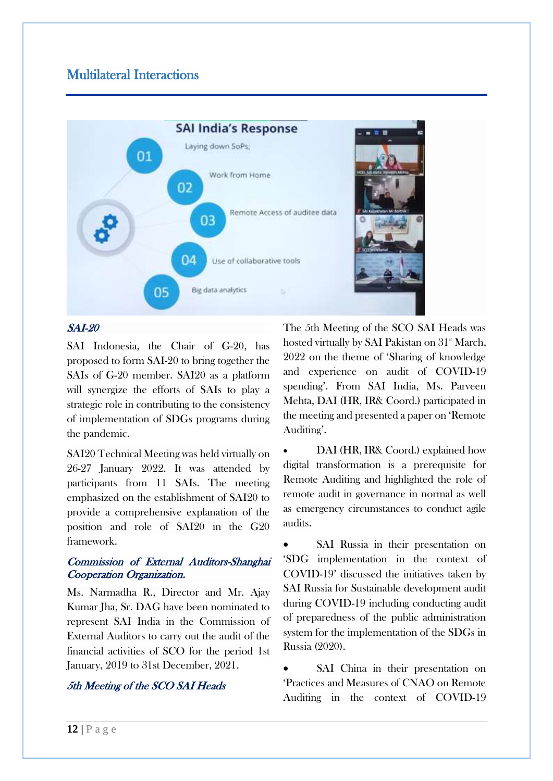# Multilateral Interactions



## SAI-20

SAI Indonesia, the Chair of G-20, has proposed to form SAI-20 to bring together the SAIs of G-20 member. SAI20 as a platform will synergize the efforts of SAIs to play a strategic role in contributing to the consistency of implementation of SDGs programs during the pandemic.

SAI20 Technical Meeting was held virtually on 26-27 January 2022. It was attended by participants from 11 SAIs. The meeting emphasized on the establishment of SAI20 to provide a comprehensive explanation of the position and role of SAI20 in the G20 framework.

## Commission of External Auditors-Shanghai Cooperation Organization.

Ms. Narmadha R., Director and Mr. Ajay Kumar Jha, Sr. DAG have been nominated to represent SAI India in the Commission of External Auditors to carry out the audit of the financial activities of SCO for the period 1st January, 2019 to 31st December, 2021.

## 5th Meeting of the SCO SAI Heads

The 5th Meeting of the SCO SAI Heads was hosted virtually by SAI Pakistan on  $31^*$  March, 2022 on the theme of 'Sharing of knowledge and experience on audit of COVID-19 spending'. From SAI India, Ms. Parveen Mehta, DAI (HR, IR& Coord.) participated in the meeting and presented a paper on 'Remote Auditing'.

 DAI (HR, IR& Coord.) explained how digital transformation is a prerequisite for Remote Auditing and highlighted the role of remote audit in governance in normal as well as emergency circumstances to conduct agile audits.

 SAI Russia in their presentation on 'SDG implementation in the context of COVID-19' discussed the initiatives taken by SAI Russia for Sustainable development audit during COVID-19 including conducting audit of preparedness of the public administration system for the implementation of the SDGs in Russia (2020).

 SAI China in their presentation on 'Practices and Measures of CNAO on Remote Auditing in the context of COVID-19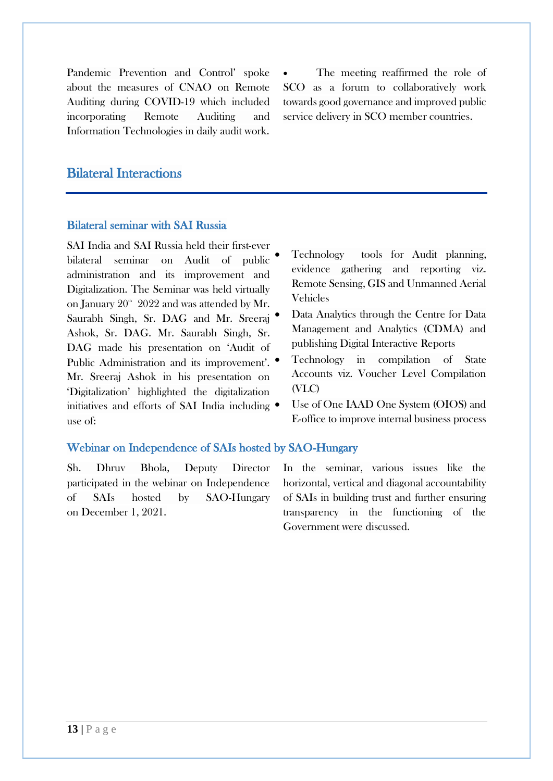Pandemic Prevention and Control' spoke about the measures of CNAO on Remote Auditing during COVID-19 which included incorporating Remote Auditing and Information Technologies in daily audit work.

 The meeting reaffirmed the role of SCO as a forum to collaboratively work towards good governance and improved public service delivery in SCO member countries.

# Bilateral Interactions

#### Bilateral seminar with SAI Russia

SAI India and SAI Russia held their first-ever bilateral seminar on Audit of public administration and its improvement and Digitalization. The Seminar was held virtually on January  $20<sup>th</sup>$  2022 and was attended by Mr. Saurabh Singh, Sr. DAG and Mr. Sreeraj Ashok, Sr. DAG. Mr. Saurabh Singh, Sr. DAG made his presentation on 'Audit of Public Administration and its improvement'.  $\bullet$ Mr. Sreeraj Ashok in his presentation on 'Digitalization' highlighted the digitalization initiatives and efforts of SAI India including  $\bullet$ use of:

- Technology tools for Audit planning, evidence gathering and reporting viz. Remote Sensing, GIS and Unmanned Aerial Vehicles
- Data Analytics through the Centre for Data Management and Analytics (CDMA) and publishing Digital Interactive Reports
- Technology in compilation of State Accounts viz. Voucher Level Compilation (VLC)
- Use of One IAAD One System (OIOS) and E-office to improve internal business process

#### Webinar on Independence of SAIs hosted by SAO-Hungary

Sh. Dhruv Bhola, Deputy Director participated in the webinar on Independence of SAIs hosted by SAO-Hungary on December 1, 2021.

In the seminar, various issues like the horizontal, vertical and diagonal accountability of SAIs in building trust and further ensuring transparency in the functioning of the Government were discussed.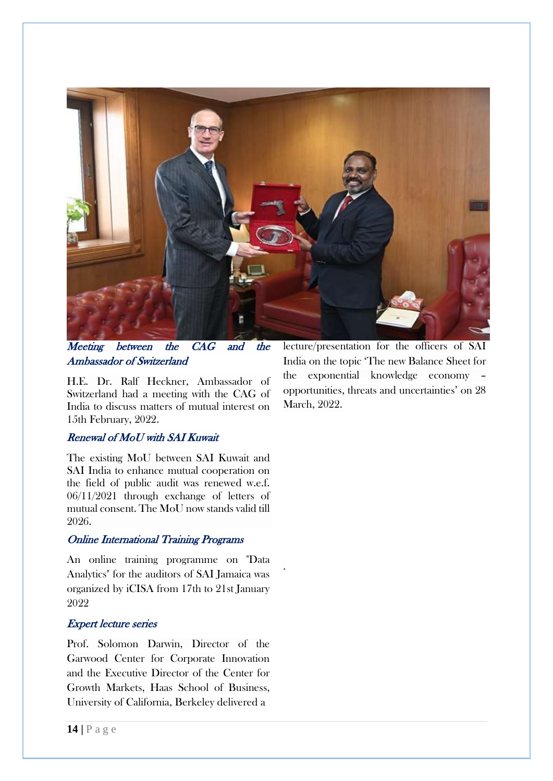

.

Meeting between the CAG and the Ambassador of Switzerland

H.E. Dr. Ralf Heckner, Ambassador of Switzerland had a meeting with the CAG of India to discuss matters of mutual interest on 15th February, 2022.

#### Renewal of MoU with SAI Kuwait

The existing MoU between SAI Kuwait and SAI India to enhance mutual cooperation on the field of public audit was renewed w.e.f. 06/11/2021 through exchange of letters of mutual consent. The MoU now stands valid till 2026.

#### Online International Training Programs

An online training programme on "Data Analytics" for the auditors of SAI Jamaica was organized by iCISA from 17th to 21st January 2022

## Expert lecture series

Prof. Solomon Darwin, Director of the Garwood Center for Corporate Innovation and the Executive Director of the Center for Growth Markets, Haas School of Business, University of California, Berkeley delivered a

lecture/presentation for the officers of SAI India on the topic 'The new Balance Sheet for the exponential knowledge economy – opportunities, threats and uncertainties' on 28 March, 2022.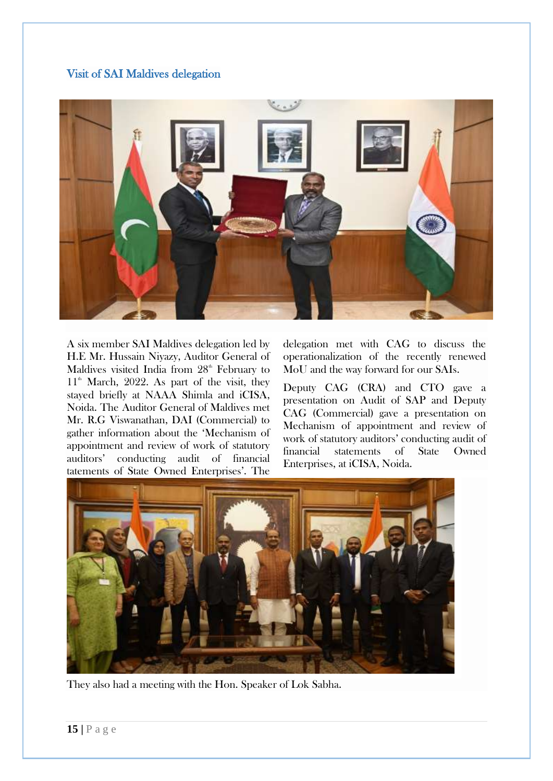# Visit of SAI Maldives delegation



A six member SAI Maldives delegation led by H.E Mr. Hussain Niyazy, Auditor General of Maldives visited India from  $28<sup>th</sup>$  February to  $11<sup>th</sup>$  March, 2022. As part of the visit, they stayed briefly at NAAA Shimla and iCISA, Noida. The Auditor General of Maldives met Mr. R.G Viswanathan, DAI (Commercial) to gather information about the 'Mechanism of appointment and review of work of statutory auditors' conducting audit of financial tatements of State Owned Enterprises'. The

delegation met with CAG to discuss the operationalization of the recently renewed MoU and the way forward for our SAIs.

Deputy CAG (CRA) and CTO gave a presentation on Audit of SAP and Deputy CAG (Commercial) gave a presentation on Mechanism of appointment and review of work of statutory auditors' conducting audit of financial statements of State Owned Enterprises, at iCISA, Noida.



They also had a meeting with the Hon. Speaker of Lok Sabha.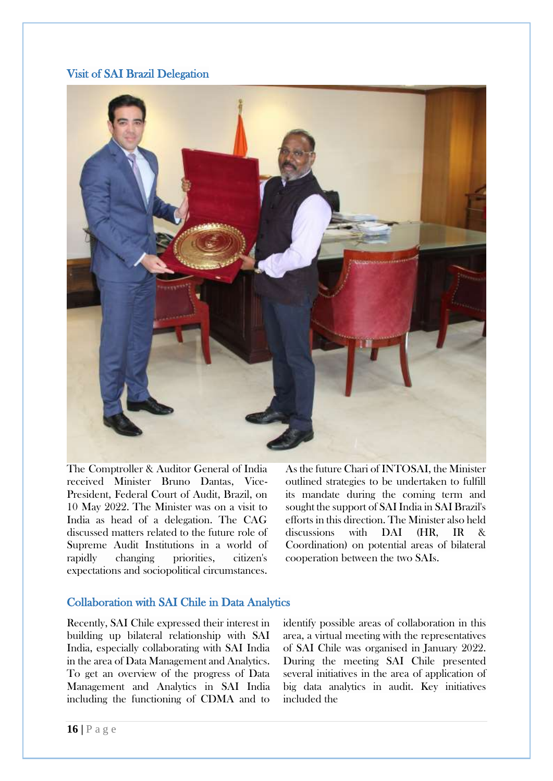## Visit of SAI Brazil Delegation



The Comptroller & Auditor General of India received Minister Bruno Dantas, Vice-President, Federal Court of Audit, Brazil, on 10 May 2022. The Minister was on a visit to India as head of a delegation. The CAG discussed matters related to the future role of Supreme Audit Institutions in a world of rapidly changing priorities, citizen's expectations and sociopolitical circumstances.

As the future Chari of INTOSAI, the Minister outlined strategies to be undertaken to fulfill its mandate during the coming term and sought the support of SAI India in SAI Brazil's efforts in this direction. The Minister also held discussions with DAI (HR, IR & Coordination) on potential areas of bilateral cooperation between the two SAIs.

## Collaboration with SAI Chile in Data Analytics

Recently, SAI Chile expressed their interest in building up bilateral relationship with SAI India, especially collaborating with SAI India in the area of Data Management and Analytics. To get an overview of the progress of Data Management and Analytics in SAI India including the functioning of CDMA and to

identify possible areas of collaboration in this area, a virtual meeting with the representatives of SAI Chile was organised in January 2022. During the meeting SAI Chile presented several initiatives in the area of application of big data analytics in audit. Key initiatives included the